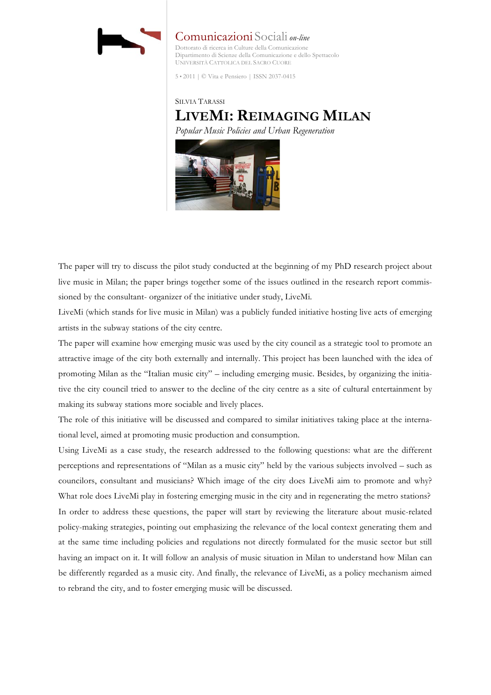

Comunicazioni Sociali *on-line* Dottorato di ricerca in Culture della Comunicazione Dipartimento di Scienze della Comunicazione e dello Spettacolo UNIVERSITÀ CATTOLICA DEL SACRO CUORE

5 • 2011 | © Vita e Pensiero | ISSN 2037-0415

# SILVIA TARASSI **LIVEMI: REIMAGING MILAN**

*Popular Music Policies and Urban Regeneration* 



The paper will try to discuss the pilot study conducted at the beginning of my PhD research project about live music in Milan; the paper brings together some of the issues outlined in the research report commissioned by the consultant- organizer of the initiative under study, LiveMi.

LiveMi (which stands for live music in Milan) was a publicly funded initiative hosting live acts of emerging artists in the subway stations of the city centre.

The paper will examine how emerging music was used by the city council as a strategic tool to promote an attractive image of the city both externally and internally. This project has been launched with the idea of promoting Milan as the "Italian music city" – including emerging music. Besides, by organizing the initiative the city council tried to answer to the decline of the city centre as a site of cultural entertainment by making its subway stations more sociable and lively places.

The role of this initiative will be discussed and compared to similar initiatives taking place at the international level, aimed at promoting music production and consumption.

Using LiveMi as a case study, the research addressed to the following questions: what are the different perceptions and representations of "Milan as a music city" held by the various subjects involved – such as councilors, consultant and musicians? Which image of the city does LiveMi aim to promote and why? What role does LiveMi play in fostering emerging music in the city and in regenerating the metro stations? In order to address these questions, the paper will start by reviewing the literature about music-related policy-making strategies, pointing out emphasizing the relevance of the local context generating them and at the same time including policies and regulations not directly formulated for the music sector but still having an impact on it. It will follow an analysis of music situation in Milan to understand how Milan can be differently regarded as a music city. And finally, the relevance of LiveMi, as a policy mechanism aimed to rebrand the city, and to foster emerging music will be discussed.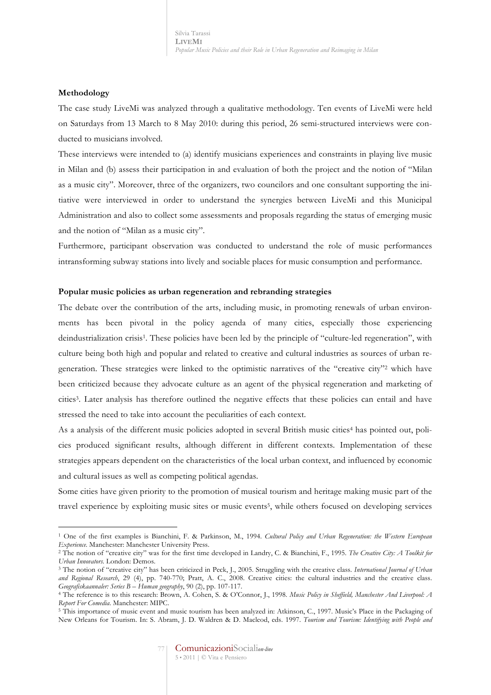## **Methodology**

 $\overline{a}$ 

The case study LiveMi was analyzed through a qualitative methodology. Ten events of LiveMi were held on Saturdays from 13 March to 8 May 2010: during this period, 26 semi-structured interviews were conducted to musicians involved.

These interviews were intended to (a) identify musicians experiences and constraints in playing live music in Milan and (b) assess their participation in and evaluation of both the project and the notion of "Milan as a music city". Moreover, three of the organizers, two councilors and one consultant supporting the initiative were interviewed in order to understand the synergies between LiveMi and this Municipal Administration and also to collect some assessments and proposals regarding the status of emerging music and the notion of "Milan as a music city".

Furthermore, participant observation was conducted to understand the role of music performances intransforming subway stations into lively and sociable places for music consumption and performance.

### **Popular music policies as urban regeneration and rebranding strategies**

The debate over the contribution of the arts, including music, in promoting renewals of urban environments has been pivotal in the policy agenda of many cities, especially those experiencing deindustrialization crisis<sup>1</sup>. These policies have been led by the principle of "culture-led regeneration", with culture being both high and popular and related to creative and cultural industries as sources of urban regeneration. These strategies were linked to the optimistic narratives of the "creative city"2 which have been criticized because they advocate culture as an agent of the physical regeneration and marketing of cities3. Later analysis has therefore outlined the negative effects that these policies can entail and have stressed the need to take into account the peculiarities of each context.

As a analysis of the different music policies adopted in several British music cities<sup>4</sup> has pointed out, policies produced significant results, although different in different contexts. Implementation of these strategies appears dependent on the characteristics of the local urban context, and influenced by economic and cultural issues as well as competing political agendas.

Some cities have given priority to the promotion of musical tourism and heritage making music part of the travel experience by exploiting music sites or music events5, while others focused on developing services

<sup>1</sup> One of the first examples is Bianchini, F. & Parkinson, M., 1994. *Cultural Policy and Urban Regeneration: the Western European Experience*. Manchester: Manchester University Press.

<sup>2</sup> The notion of "creative city" was for the first time developed in Landry, C. & Bianchini, F., 1995. *The Creative City: A Toolkit for Urban Innovators.* London: Demos.

<sup>3</sup> The notion of "creative city" has been criticized in Peck, J., 2005. Struggling with the creative class. *International Journal of Urban and Regional Research*, 29 (4), pp. 740-770; Pratt, A. C., 2008. Creative cities: the cultural industries and the creative class. *Geografiskaannaler: Series B – Human geography*, 90 (2), pp. 107-117.

<sup>4</sup> The reference is to this research: Brown, A. Cohen, S. & O'Connor, J., 1998. *Music Policy in Sheffield, Manchester And Liverpool: A Report For Comedia*. Manchester: MIPC.

<sup>5</sup> This importance of music event and music tourism has been analyzed in: Atkinson, C., 1997. Music's Place in the Packaging of New Orleans for Tourism. In: S. Abram, J. D. Waldren & D. Macleod, eds. 1997. *Tourism and Tourism: Identifying with People and*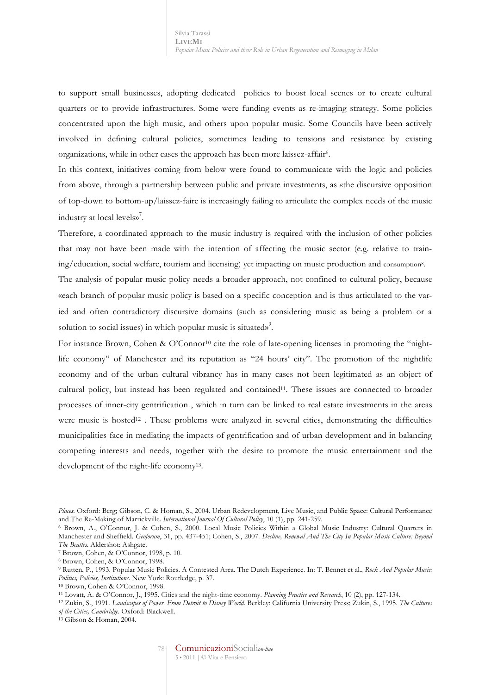to support small businesses, adopting dedicated policies to boost local scenes or to create cultural quarters or to provide infrastructures. Some were funding events as re-imaging strategy. Some policies concentrated upon the high music, and others upon popular music. Some Councils have been actively involved in defining cultural policies, sometimes leading to tensions and resistance by existing organizations, while in other cases the approach has been more laissez-affair6.

In this context, initiatives coming from below were found to communicate with the logic and policies from above, through a partnership between public and private investments, as «the discursive opposition of top-down to bottom-up/laissez-faire is increasingly failing to articulate the complex needs of the music industry at local levels» 7 .

Therefore, a coordinated approach to the music industry is required with the inclusion of other policies that may not have been made with the intention of affecting the music sector (e.g. relative to training/education, social welfare, tourism and licensing) yet impacting on music production and consumption8.

The analysis of popular music policy needs a broader approach, not confined to cultural policy, because «each branch of popular music policy is based on a specific conception and is thus articulated to the varied and often contradictory discursive domains (such as considering music as being a problem or a solution to social issues) in which popular music is situated»<sup>9</sup>.

For instance Brown, Cohen & O'Connor<sup>10</sup> cite the role of late-opening licenses in promoting the "nightlife economy" of Manchester and its reputation as "24 hours' city". The promotion of the nightlife economy and of the urban cultural vibrancy has in many cases not been legitimated as an object of cultural policy, but instead has been regulated and contained11. These issues are connected to broader processes of inner-city gentrification , which in turn can be linked to real estate investments in the areas were music is hosted<sup>12</sup>. These problems were analyzed in several cities, demonstrating the difficulties municipalities face in mediating the impacts of gentrification and of urban development and in balancing competing interests and needs, together with the desire to promote the music entertainment and the development of the night-life economy<sup>13</sup>.

-

*Places*. Oxford: Berg; Gibson, C. & Homan, S., 2004. Urban Redevelopment, Live Music, and Public Space: Cultural Performance and The Re-Making of Marrickville. *International Journal Of Cultural Policy*, 10 (1), pp. 241-259.

<sup>6</sup> Brown, A., O'Connor, J. & Cohen, S., 2000. Local Music Policies Within a Global Music Industry: Cultural Quarters in Manchester and Sheffield. *Geoforum*, 31, pp. 437-451; Cohen, S., 2007. *Decline, Renewal And The City In Popular Music Culture: Beyond The Beatles*. Aldershot: Ashgate.

<sup>7</sup> Brown, Cohen, & O'Connor, 1998, p. 10.

<sup>8</sup> Brown, Cohen, & O'Connor, 1998.

<sup>9</sup> Rutten, P., 1993. Popular Music Policies. A Contested Area. The Dutch Experience. In: T. Bennet et al., *Rock And Popular Music: Politics, Policies, Institutions*. New York: Routledge, p. 37.

<sup>10</sup> Brown, Cohen & O'Connor, 1998.

<sup>11</sup> Lovatt, A. & O'Connor, J., 1995. Cities and the night-time economy. *Planning Practice and Research*, 10 (2), pp. 127-134.

<sup>12</sup> Zukin, S., 1991. *Landscapes of Power. From Detroit to Disney World*. Berkley: California University Press; Zukin, S., 1995. *The Cultures of the Cities, Cambridge*. Oxford: Blackwell.

<sup>13</sup> Gibson & Homan, 2004.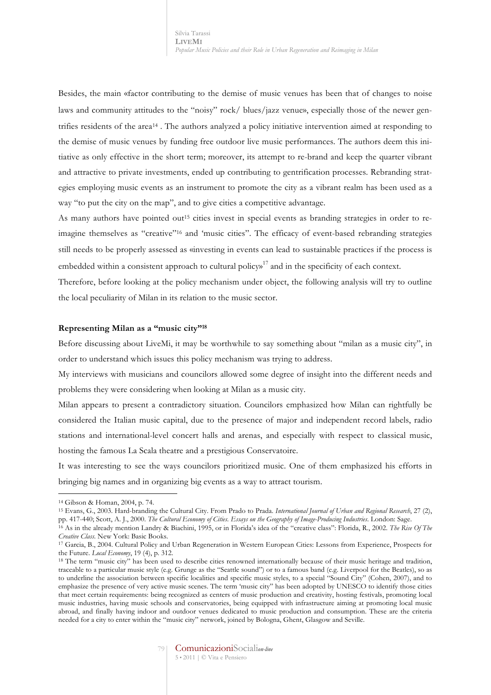Besides, the main «factor contributing to the demise of music venues has been that of changes to noise laws and community attitudes to the "noisy" rock/ blues/jazz venue», especially those of the newer gentrifies residents of the area14 . The authors analyzed a policy initiative intervention aimed at responding to the demise of music venues by funding free outdoor live music performances. The authors deem this initiative as only effective in the short term; moreover, its attempt to re-brand and keep the quarter vibrant and attractive to private investments, ended up contributing to gentrification processes. Rebranding strategies employing music events as an instrument to promote the city as a vibrant realm has been used as a way "to put the city on the map", and to give cities a competitive advantage.

As many authors have pointed out<sup>15</sup> cities invest in special events as branding strategies in order to reimagine themselves as "creative"16 and 'music cities". The efficacy of event-based rebranding strategies still needs to be properly assessed as «investing in events can lead to sustainable practices if the process is embedded within a consistent approach to cultural policy»<sup>17</sup> and in the specificity of each context.

Therefore, before looking at the policy mechanism under object, the following analysis will try to outline the local peculiarity of Milan in its relation to the music sector.

#### **Representing Milan as a "music city"18**

Before discussing about LiveMi, it may be worthwhile to say something about "milan as a music city", in order to understand which issues this policy mechanism was trying to address.

My interviews with musicians and councilors allowed some degree of insight into the different needs and problems they were considering when looking at Milan as a music city.

Milan appears to present a contradictory situation. Councilors emphasized how Milan can rightfully be considered the Italian music capital, due to the presence of major and independent record labels, radio stations and international-level concert halls and arenas, and especially with respect to classical music, hosting the famous La Scala theatre and a prestigious Conservatoire.

It was interesting to see the ways councilors prioritized music. One of them emphasized his efforts in bringing big names and in organizing big events as a way to attract tourism.

 $\overline{a}$ 

<sup>15</sup> Evans, G., 2003. Hard-branding the Cultural City. From Prado to Prada. *International Journal of Urban and Regional Research*, 27 (2), pp. 417-440; Scott, A. J., 2000. *The Cultural Economy of Cities. Essays on the Geography of Image-Producing Industries*. London: Sage.

<sup>14</sup> Gibson & Homan, 2004, p. 74.

<sup>16</sup> As in the already mention Landry & Biachini, 1995, or in Florida's idea of the "creative class": Florida, R., 2002. *The Rise Of The Creative Class*. New York: Basic Books.

<sup>17</sup> Garcia, B., 2004. Cultural Policy and Urban Regeneration in Western European Cities: Lessons from Experience, Prospects for the Future. *Local Economy*, 19 (4), p. 312.

<sup>18</sup> The term "music city" has been used to describe cities renowned internationally because of their music heritage and tradition, traceable to a particular music style (e.g. Grunge as the "Seattle sound") or to a famous band (e.g. Liverpool for the Beatles), so as to underline the association between specific localities and specific music styles, to a special "Sound City" (Cohen, 2007), and to emphasize the presence of very active music scenes. The term 'music city" has been adopted by UNESCO to identify those cities that meet certain requirements: being recognized as centers of music production and creativity, hosting festivals, promoting local music industries, having music schools and conservatories, being equipped with infrastructure aiming at promoting local music abroad, and finally having indoor and outdoor venues dedicated to music production and consumption. These are the criteria needed for a city to enter within the "music city" network, joined by Bologna, Ghent, Glasgow and Seville.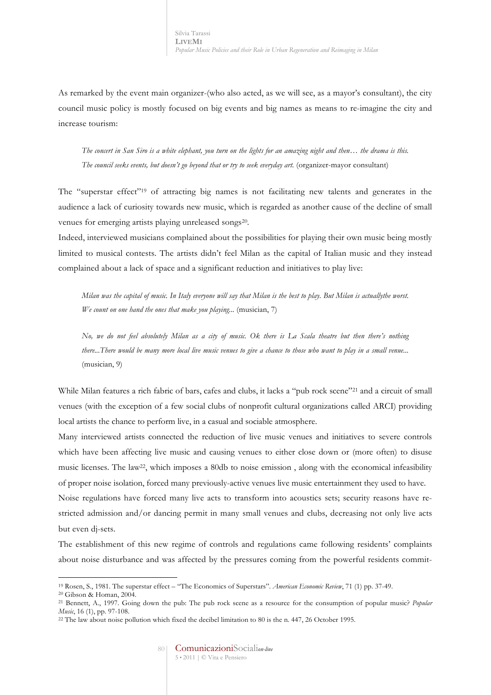As remarked by the event main organizer-(who also acted, as we will see, as a mayor's consultant), the city council music policy is mostly focused on big events and big names as means to re-imagine the city and increase tourism:

*The concert in San Siro is a white elephant, you turn on the lights for an amazing night and then… the drama is this. The council seeks events, but doesn't go beyond that or try to seek everyday art.* (organizer-mayor consultant)

The "superstar effect"19 of attracting big names is not facilitating new talents and generates in the audience a lack of curiosity towards new music, which is regarded as another cause of the decline of small venues for emerging artists playing unreleased songs<sup>20</sup>.

Indeed, interviewed musicians complained about the possibilities for playing their own music being mostly limited to musical contests. The artists didn't feel Milan as the capital of Italian music and they instead complained about a lack of space and a significant reduction and initiatives to play live:

*Milan was the capital of music. In Italy everyone will say that Milan is the best to play. But Milan is actuallythe worst. We count on one hand the ones that make you playing...* (musician, 7)

*No, we do not feel absolutely Milan as a city of music. Ok there is La Scala theatre but then there's nothing there...There would be many more local live music venues to give a chance to those who want to play in a small venue...* (musician, 9)

While Milan features a rich fabric of bars, cafes and clubs, it lacks a "pub rock scene"21 and a circuit of small venues (with the exception of a few social clubs of nonprofit cultural organizations called ARCI) providing local artists the chance to perform live, in a casual and sociable atmosphere.

Many interviewed artists connected the reduction of live music venues and initiatives to severe controls which have been affecting live music and causing venues to either close down or (more often) to disuse music licenses. The law22, which imposes a 80db to noise emission , along with the economical infeasibility of proper noise isolation, forced many previously-active venues live music entertainment they used to have. Noise regulations have forced many live acts to transform into acoustics sets; security reasons have restricted admission and/or dancing permit in many small venues and clubs, decreasing not only live acts

but even dj-sets.

 $\overline{a}$ 

The establishment of this new regime of controls and regulations came following residents' complaints about noise disturbance and was affected by the pressures coming from the powerful residents commit-

<sup>19</sup> Rosen, S., 1981. The superstar effect – "The Economics of Superstars". *American Economic Review*, 71 (1) pp. 37-49.

<sup>20</sup> Gibson & Homan, 2004.

<sup>21</sup> Bennett, A., 1997. Going down the pub: The pub rock scene as a resource for the consumption of popular music? *Popular Music*, 16 (1), pp. 97-108.

<sup>22</sup> The law about noise pollution which fixed the decibel limitation to 80 is the n. 447, 26 October 1995.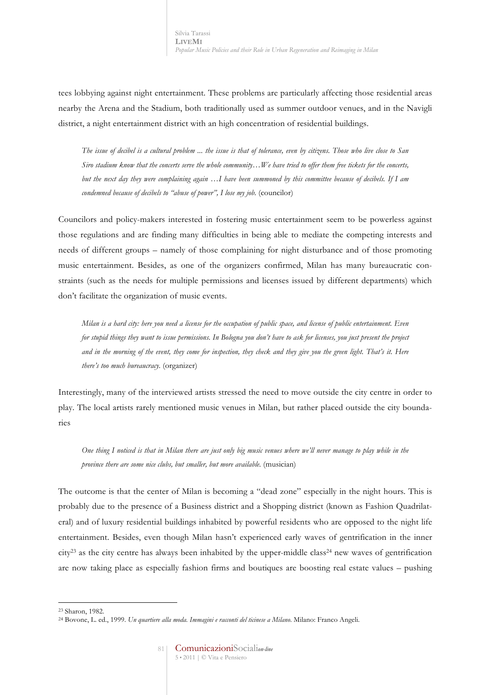tees lobbying against night entertainment. These problems are particularly affecting those residential areas nearby the Arena and the Stadium, both traditionally used as summer outdoor venues, and in the Navigli district, a night entertainment district with an high concentration of residential buildings.

*The issue of decibel is a cultural problem ... the issue is that of tolerance, even by citizens. Those who live close to San Siro stadium know that the concerts serve the whole community…We have tried to offer them free tickets for the concerts, but the next day they were complaining again …I have been summoned by this committee because of decibels. If I am condemned because of decibels to "abuse of power", I lose my job.* (councilor)

Councilors and policy-makers interested in fostering music entertainment seem to be powerless against those regulations and are finding many difficulties in being able to mediate the competing interests and needs of different groups – namely of those complaining for night disturbance and of those promoting music entertainment. Besides, as one of the organizers confirmed, Milan has many bureaucratic constraints (such as the needs for multiple permissions and licenses issued by different departments) which don't facilitate the organization of music events.

*Milan is a hard city: here you need a license for the occupation of public space, and license of public entertainment. Even for stupid things they want to issue permissions. In Bologna you don't have to ask for licenses, you just present the project and in the morning of the event, they come for inspection, they check and they give you the green light. That's it. Here there's too much bureaucracy.* (organizer)

Interestingly, many of the interviewed artists stressed the need to move outside the city centre in order to play. The local artists rarely mentioned music venues in Milan, but rather placed outside the city boundaries

*One thing I noticed is that in Milan there are just only big music venues where we'll never manage to play while in the province there are some nice clubs, but smaller, but more available.* (musician)

The outcome is that the center of Milan is becoming a "dead zone" especially in the night hours. This is probably due to the presence of a Business district and a Shopping district (known as Fashion Quadrilateral) and of luxury residential buildings inhabited by powerful residents who are opposed to the night life entertainment. Besides, even though Milan hasn't experienced early waves of gentrification in the inner city23 as the city centre has always been inhabited by the upper-middle class24 new waves of gentrification are now taking place as especially fashion firms and boutiques are boosting real estate values – pushing

 $\overline{a}$ 

<sup>23</sup> Sharon, 1982.

<sup>24</sup> Bovone, L. ed., 1999. *Un quartiere alla moda. Immagini e racconti del ticinese a Milano*. Milano: Franco Angeli.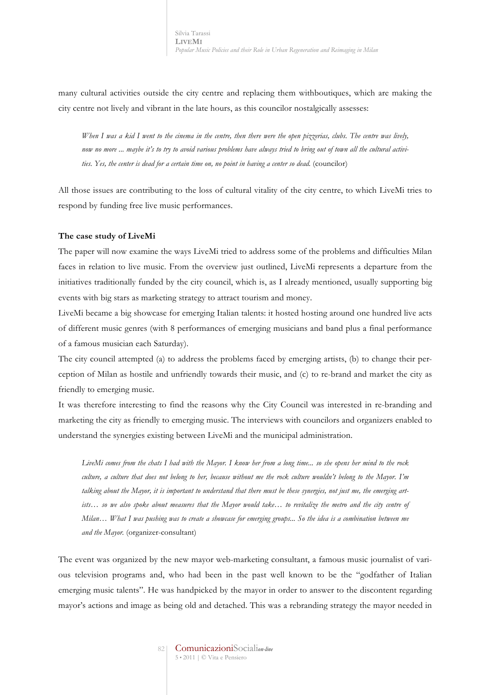many cultural activities outside the city centre and replacing them withboutiques, which are making the city centre not lively and vibrant in the late hours, as this councilor nostalgically assesses:

*When I was a kid I went to the cinema in the centre, then there were the open pizzerias, clubs. The centre was lively, now no more ... maybe it's to try to avoid various problems have always tried to bring out of town all the cultural activities. Yes, the center is dead for a certain time on, no point in having a center so dead.* (councilor)

All those issues are contributing to the loss of cultural vitality of the city centre, to which LiveMi tries to respond by funding free live music performances.

#### **The case study of LiveMi**

The paper will now examine the ways LiveMi tried to address some of the problems and difficulties Milan faces in relation to live music. From the overview just outlined, LiveMi represents a departure from the initiatives traditionally funded by the city council, which is, as I already mentioned, usually supporting big events with big stars as marketing strategy to attract tourism and money.

LiveMi became a big showcase for emerging Italian talents: it hosted hosting around one hundred live acts of different music genres (with 8 performances of emerging musicians and band plus a final performance of a famous musician each Saturday).

The city council attempted (a) to address the problems faced by emerging artists, (b) to change their perception of Milan as hostile and unfriendly towards their music, and (c) to re-brand and market the city as friendly to emerging music.

It was therefore interesting to find the reasons why the City Council was interested in re-branding and marketing the city as friendly to emerging music. The interviews with councilors and organizers enabled to understand the synergies existing between LiveMi and the municipal administration.

*LiveMi comes from the chats I had with the Mayor. I know her from a long time... so she opens her mind to the rock culture, a culture that does not belong to her, because without me the rock culture wouldn't belong to the Mayor. I'm*  talking about the Mayor, it is important to understand that there must be these synergies, not just me, the emerging artists... so we also spoke about measures that the Mayor would take... to revitalize the metro and the city centre of *Milan… What I was pushing was to create a showcase for emerging groups... So the idea is a combination between me and the Mayor.* (organizer-consultant)

The event was organized by the new mayor web-marketing consultant, a famous music journalist of various television programs and, who had been in the past well known to be the "godfather of Italian emerging music talents". He was handpicked by the mayor in order to answer to the discontent regarding mayor's actions and image as being old and detached. This was a rebranding strategy the mayor needed in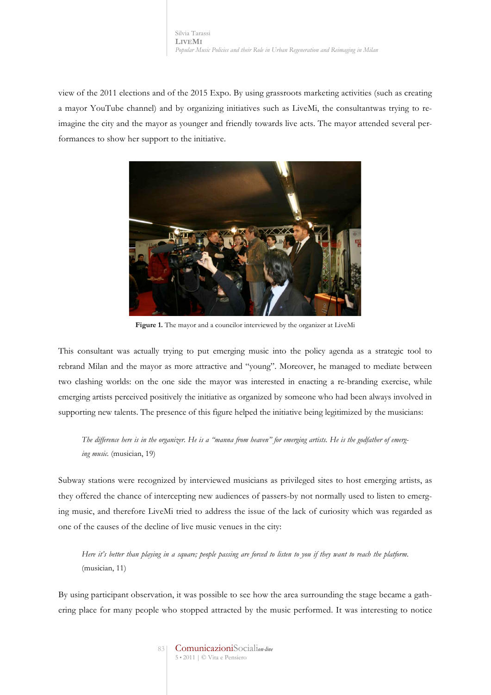view of the 2011 elections and of the 2015 Expo. By using grassroots marketing activities (such as creating a mayor YouTube channel) and by organizing initiatives such as LiveMi, the consultantwas trying to reimagine the city and the mayor as younger and friendly towards live acts. The mayor attended several performances to show her support to the initiative.



**Figure 1.** The mayor and a councilor interviewed by the organizer at LiveMi

This consultant was actually trying to put emerging music into the policy agenda as a strategic tool to rebrand Milan and the mayor as more attractive and "young". Moreover, he managed to mediate between two clashing worlds: on the one side the mayor was interested in enacting a re-branding exercise, while emerging artists perceived positively the initiative as organized by someone who had been always involved in supporting new talents. The presence of this figure helped the initiative being legitimized by the musicians:

*The difference here is in the organizer. He is a "manna from heaven" for emerging artists. He is the godfather of emerging music.* (musician, 19)

Subway stations were recognized by interviewed musicians as privileged sites to host emerging artists, as they offered the chance of intercepting new audiences of passers-by not normally used to listen to emerging music, and therefore LiveMi tried to address the issue of the lack of curiosity which was regarded as one of the causes of the decline of live music venues in the city:

*Here it's better than playing in a square; people passing are forced to listen to you if they want to reach the platform.*  (musician, 11)

By using participant observation, it was possible to see how the area surrounding the stage became a gathering place for many people who stopped attracted by the music performed. It was interesting to notice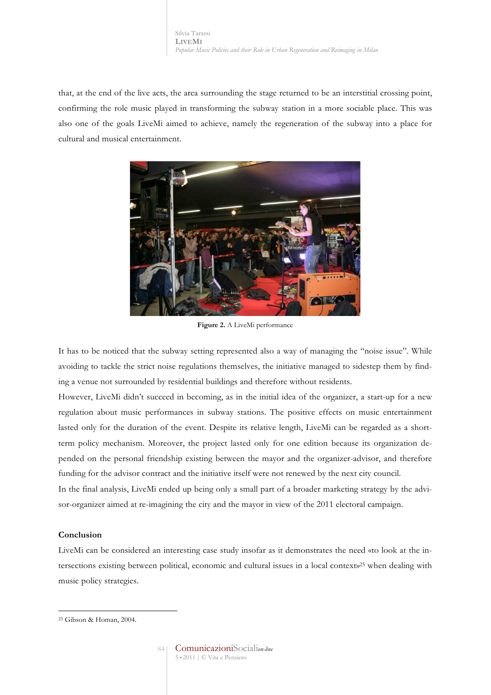that, at the end of the live acts, the area surrounding the stage returned to be an interstitial crossing point, confirming the role music played in transforming the subway station in a more sociable place. This was also one of the goals LiveMi aimed to achieve, namely the regeneration of the subway into a place for cultural and musical entertainment.



**Figure 2.** A LiveMi performance

It has to be noticed that the subway setting represented also a way of managing the "noise issue". While avoiding to tackle the strict noise regulations themselves, the initiative managed to sidestep them by finding a venue not surrounded by residential buildings and therefore without residents.

However, LiveMi didn't succeed in becoming, as in the initial idea of the organizer, a start-up for a new regulation about music performances in subway stations. The positive effects on music entertainment lasted only for the duration of the event. Despite its relative length, LiveMi can be regarded as a shortterm policy mechanism. Moreover, the project lasted only for one edition because its organization depended on the personal friendship existing between the mayor and the organizer-advisor, and therefore funding for the advisor contract and the initiative itself were not renewed by the next city council.

In the final analysis, LiveMi ended up being only a small part of a broader marketing strategy by the advisor-organizer aimed at re-imagining the city and the mayor in view of the 2011 electoral campaign.

## **Conclusion**

LiveMi can be considered an interesting case study insofar as it demonstrates the need «to look at the intersections existing between political, economic and cultural issues in a local context»25 when dealing with music policy strategies.

 $\overline{a}$ <sup>25</sup> Gibson & Homan, 2004.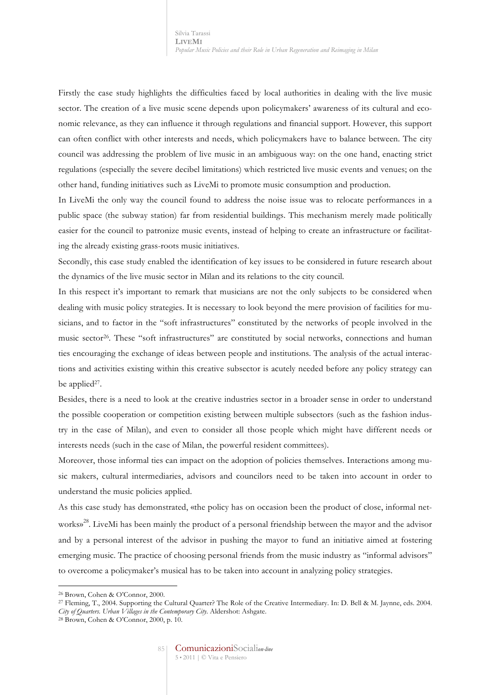Firstly the case study highlights the difficulties faced by local authorities in dealing with the live music sector. The creation of a live music scene depends upon policymakers' awareness of its cultural and economic relevance, as they can influence it through regulations and financial support. However, this support can often conflict with other interests and needs, which policymakers have to balance between. The city council was addressing the problem of live music in an ambiguous way: on the one hand, enacting strict regulations (especially the severe decibel limitations) which restricted live music events and venues; on the other hand, funding initiatives such as LiveMi to promote music consumption and production.

In LiveMi the only way the council found to address the noise issue was to relocate performances in a public space (the subway station) far from residential buildings. This mechanism merely made politically easier for the council to patronize music events, instead of helping to create an infrastructure or facilitating the already existing grass-roots music initiatives.

Secondly, this case study enabled the identification of key issues to be considered in future research about the dynamics of the live music sector in Milan and its relations to the city council.

In this respect it's important to remark that musicians are not the only subjects to be considered when dealing with music policy strategies. It is necessary to look beyond the mere provision of facilities for musicians, and to factor in the "soft infrastructures" constituted by the networks of people involved in the music sector26. These "soft infrastructures" are constituted by social networks, connections and human ties encouraging the exchange of ideas between people and institutions. The analysis of the actual interactions and activities existing within this creative subsector is acutely needed before any policy strategy can be applied<sup>27</sup>.

Besides, there is a need to look at the creative industries sector in a broader sense in order to understand the possible cooperation or competition existing between multiple subsectors (such as the fashion industry in the case of Milan), and even to consider all those people which might have different needs or interests needs (such in the case of Milan, the powerful resident committees).

Moreover, those informal ties can impact on the adoption of policies themselves. Interactions among music makers, cultural intermediaries, advisors and councilors need to be taken into account in order to understand the music policies applied.

As this case study has demonstrated, «the policy has on occasion been the product of close, informal networks» 28. LiveMi has been mainly the product of a personal friendship between the mayor and the advisor and by a personal interest of the advisor in pushing the mayor to fund an initiative aimed at fostering emerging music. The practice of choosing personal friends from the music industry as "informal advisors" to overcome a policymaker's musical has to be taken into account in analyzing policy strategies.

 $\overline{a}$ 

<sup>26</sup> Brown, Cohen & O'Connor, 2000.

<sup>27</sup> Fleming, T., 2004. Supporting the Cultural Quarter? The Role of the Creative Intermediary. In: D. Bell & M. Jaynne, eds. 2004. *City of Quarters. Urban Villages in the Contemporary City*. Aldershot: Ashgate.

<sup>28</sup> Brown, Cohen & O'Connor, 2000, p. 10.